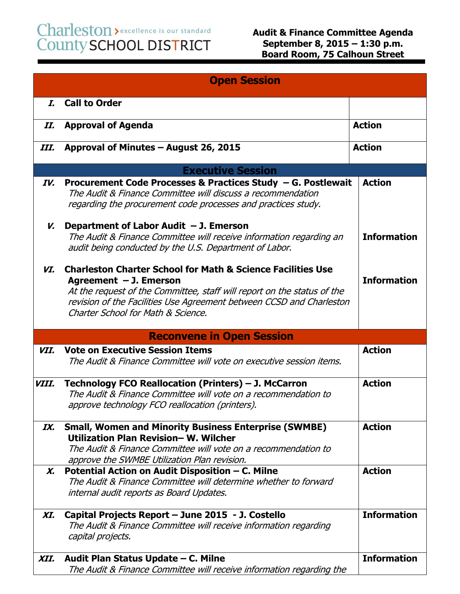## Charleston > excellence is our standard<br>County SCHOOL DISTRICT

| <b>Open Session</b> |                                                                                                                                                                                                                                                                                             |                    |
|---------------------|---------------------------------------------------------------------------------------------------------------------------------------------------------------------------------------------------------------------------------------------------------------------------------------------|--------------------|
| I.                  | <b>Call to Order</b>                                                                                                                                                                                                                                                                        |                    |
| II.                 | <b>Approval of Agenda</b>                                                                                                                                                                                                                                                                   | <b>Action</b>      |
| III.                | Approval of Minutes - August 26, 2015                                                                                                                                                                                                                                                       | <b>Action</b>      |
|                     | <b>Executive Session</b>                                                                                                                                                                                                                                                                    |                    |
| IV.                 | Procurement Code Processes & Practices Study - G. Postlewait<br>The Audit & Finance Committee will discuss a recommendation<br>regarding the procurement code processes and practices study.                                                                                                | <b>Action</b>      |
| V.                  | Department of Labor Audit $-$ J. Emerson<br>The Audit & Finance Committee will receive information regarding an<br>audit being conducted by the U.S. Department of Labor.                                                                                                                   | <b>Information</b> |
| VI.                 | <b>Charleston Charter School for Math &amp; Science Facilities Use</b><br>Agreement $-$ J. Emerson<br>At the request of the Committee, staff will report on the status of the<br>revision of the Facilities Use Agreement between CCSD and Charleston<br>Charter School for Math & Science. | <b>Information</b> |
|                     | <b>Reconvene in Open Session</b>                                                                                                                                                                                                                                                            |                    |
| VII.                | <b>Vote on Executive Session Items</b><br>The Audit & Finance Committee will vote on executive session items.                                                                                                                                                                               | <b>Action</b>      |
| VIII.               | Technology FCO Reallocation (Printers) - J. McCarron<br>The Audit & Finance Committee will vote on a recommendation to<br>approve technology FCO reallocation (printers).                                                                                                                   | <b>Action</b>      |
| IX.                 | <b>Small, Women and Minority Business Enterprise (SWMBE)</b><br>Utilization Plan Revision-W. Wilcher<br>The Audit & Finance Committee will vote on a recommendation to<br>approve the SWMBE Utilization Plan revision.                                                                      | <b>Action</b>      |
| Х.                  | Potential Action on Audit Disposition – C. Milne<br>The Audit & Finance Committee will determine whether to forward<br>internal audit reports as Board Updates.                                                                                                                             | <b>Action</b>      |
| XI.                 | Capital Projects Report - June 2015 - J. Costello<br>The Audit & Finance Committee will receive information regarding<br>capital projects.                                                                                                                                                  | <b>Information</b> |
| XII.                | Audit Plan Status Update - C. Milne<br>The Audit & Finance Committee will receive information regarding the                                                                                                                                                                                 | <b>Information</b> |